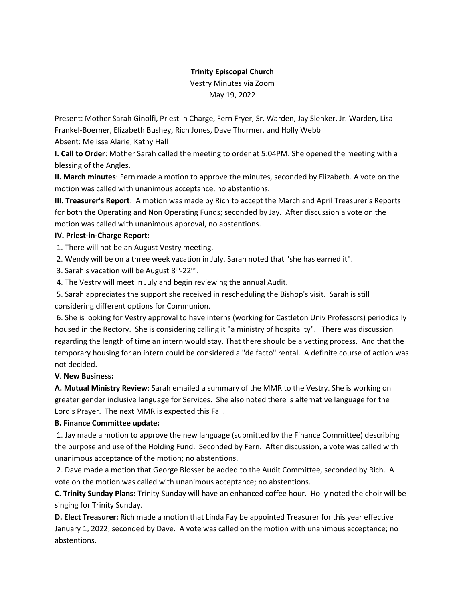#### **Trinity Episcopal Church**

Vestry Minutes via Zoom May 19, 2022

Present: Mother Sarah Ginolfi, Priest in Charge, Fern Fryer, Sr. Warden, Jay Slenker, Jr. Warden, Lisa Frankel-Boerner, Elizabeth Bushey, Rich Jones, Dave Thurmer, and Holly Webb

Absent: Melissa Alarie, Kathy Hall

**I. Call to Order**: Mother Sarah called the meeting to order at 5:04PM. She opened the meeting with a blessing of the Angles.

**II. March minutes**: Fern made a motion to approve the minutes, seconded by Elizabeth. A vote on the motion was called with unanimous acceptance, no abstentions.

**III. Treasurer's Report**: A motion was made by Rich to accept the March and April Treasurer's Reports for both the Operating and Non Operating Funds; seconded by Jay. After discussion a vote on the motion was called with unanimous approval, no abstentions.

### **IV. Priest-in-Charge Report:**

1. There will not be an August Vestry meeting.

2. Wendy will be on a three week vacation in July. Sarah noted that "she has earned it".

3. Sarah's vacation will be August 8<sup>th</sup>-22<sup>nd</sup>.

4. The Vestry will meet in July and begin reviewing the annual Audit.

5. Sarah appreciates the support she received in rescheduling the Bishop's visit. Sarah is still considering different options for Communion.

6. She is looking for Vestry approval to have interns (working for Castleton Univ Professors) periodically housed in the Rectory. She is considering calling it "a ministry of hospitality". There was discussion regarding the length of time an intern would stay. That there should be a vetting process. And that the temporary housing for an intern could be considered a "de facto" rental. A definite course of action was not decided.

#### **V**. **New Business:**

**A. Mutual Ministry Review**: Sarah emailed a summary of the MMR to the Vestry. She is working on greater gender inclusive language for Services. She also noted there is alternative language for the Lord's Prayer. The next MMR is expected this Fall.

# **B. Finance Committee update:**

1. Jay made a motion to approve the new language (submitted by the Finance Committee) describing the purpose and use of the Holding Fund. Seconded by Fern. After discussion, a vote was called with unanimous acceptance of the motion; no abstentions.

2. Dave made a motion that George Blosser be added to the Audit Committee, seconded by Rich. A vote on the motion was called with unanimous acceptance; no abstentions.

**C. Trinity Sunday Plans:** Trinity Sunday will have an enhanced coffee hour. Holly noted the choir will be singing for Trinity Sunday.

**D. Elect Treasurer:** Rich made a motion that Linda Fay be appointed Treasurer for this year effective January 1, 2022; seconded by Dave. A vote was called on the motion with unanimous acceptance; no abstentions.